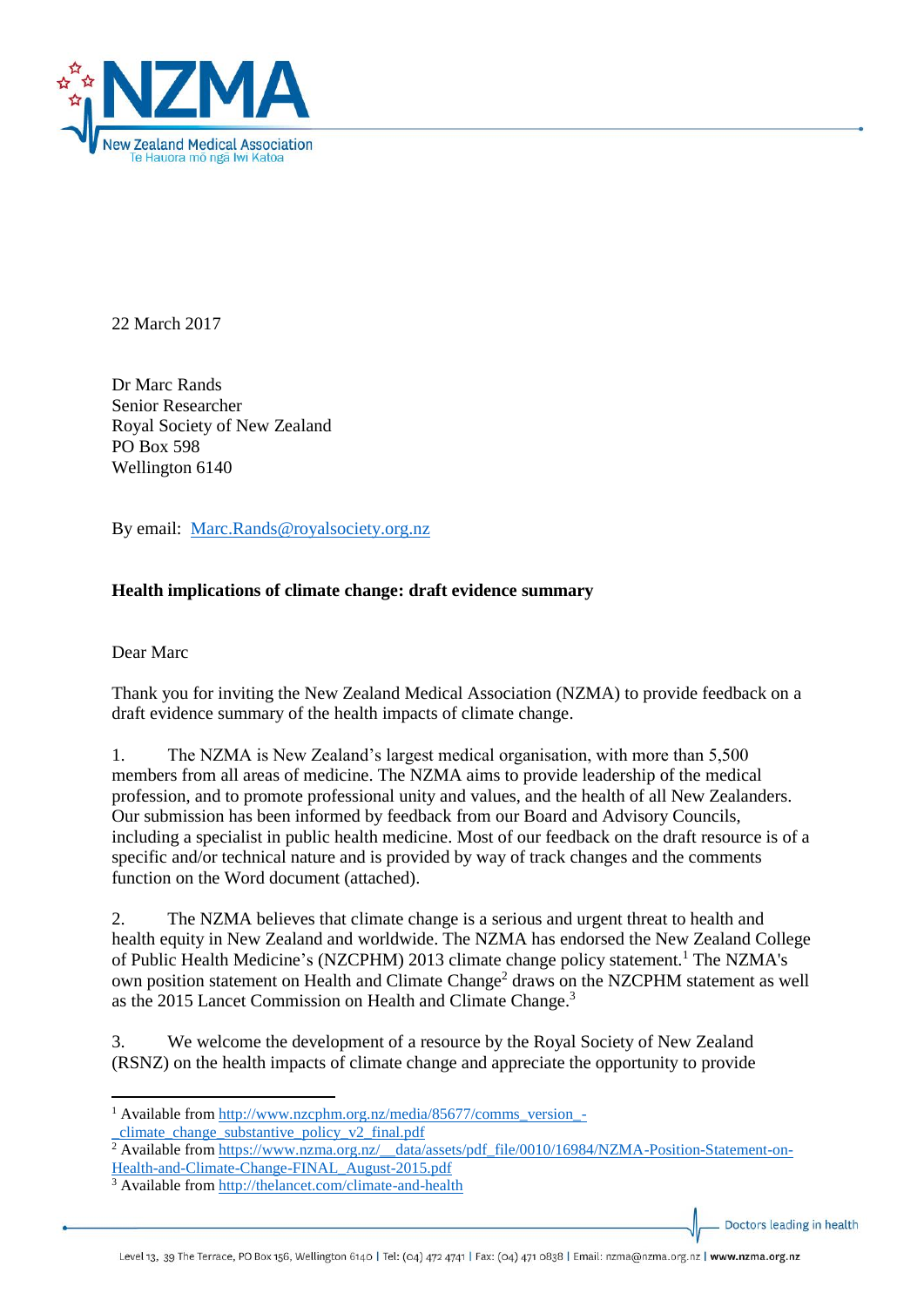

22 March 2017

Dr Marc Rands Senior Researcher Royal Society of New Zealand PO Box 598 Wellington 6140

By email: [Marc.Rands@royalsociety.org.nz](mailto:Marc.Rands@royalsociety.org.nz)

## **Health implications of climate change: draft evidence summary**

Dear Marc

**.** 

Thank you for inviting the New Zealand Medical Association (NZMA) to provide feedback on a draft evidence summary of the health impacts of climate change.

1. The NZMA is New Zealand's largest medical organisation, with more than 5,500 members from all areas of medicine. The NZMA aims to provide leadership of the medical profession, and to promote professional unity and values, and the health of all New Zealanders. Our submission has been informed by feedback from our Board and Advisory Councils, including a specialist in public health medicine. Most of our feedback on the draft resource is of a specific and/or technical nature and is provided by way of track changes and the comments function on the Word document (attached).

2. The NZMA believes that climate change is a serious and urgent threat to health and health equity in New Zealand and worldwide. The NZMA has endorsed the New Zealand College of Public Health Medicine's (NZCPHM) 2013 climate change policy statement.<sup>1</sup> The NZMA's own position statement on Health and Climate Change<sup>2</sup> draws on the NZCPHM statement as well as the 2015 Lancet Commission on Health and Climate Change.<sup>3</sup>

3. We welcome the development of a resource by the Royal Society of New Zealand (RSNZ) on the health impacts of climate change and appreciate the opportunity to provide

Doctors leading in health

<sup>&</sup>lt;sup>1</sup> Available from [http://www.nzcphm.org.nz/media/85677/comms\\_version\\_](http://www.nzcphm.org.nz/media/85677/comms_version_-_climate_change_substantive_policy_v2_final.pdf) climate change substantive policy  $v^2$  final.pdf

<sup>&</sup>lt;sup>2</sup> Available from [https://www.nzma.org.nz/\\_\\_data/assets/pdf\\_file/0010/16984/NZMA-Position-Statement-on-](https://www.nzma.org.nz/__data/assets/pdf_file/0010/16984/NZMA-Position-Statement-on-Health-and-Climate-Change-FINAL_August-2015.pdf)[Health-and-Climate-Change-FINAL\\_August-2015.pdf](https://www.nzma.org.nz/__data/assets/pdf_file/0010/16984/NZMA-Position-Statement-on-Health-and-Climate-Change-FINAL_August-2015.pdf)

<sup>3</sup> Available from<http://thelancet.com/climate-and-health>